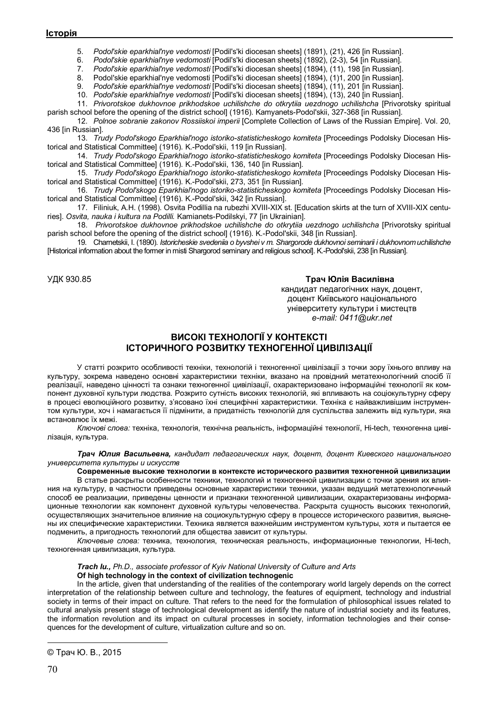5. *Podol'skie eparkhial'nye vedomosti* [Podil's'ki diocesan sheets] (1891), (21), 426 [in Russian].

6. *Podol'skie eparkhial'nye vedomosti* [Podil's'ki diocesan sheets] (1892), (2-3), 54 [in Russian].

7. *Podol'skie eparkhial'nye vedomosti* [Podil's'ki diocesan sheets] (1894), (11), 198 [in Russian].

8. Podol'skie eparkhial'nye vedomosti [Podil's'ki diocesan sheets] (1894), (1)1, 200 [in Russian].

9. *Podol'skie eparkhial'nye vedomosti* [Podil's'ki diocesan sheets] (1894), (11), 201 [in Russian].

10. *Podol'skie eparkhial'nye vedomosti* [Podil's'ki diocesan sheets] (1894), (13), 240 [in Russian].

11. *Privorotskoe dukhovnoe prikhodskoe uchilishche do otkrytiia uezdnogo uchilishcha* [Privorotsky spiritual parish school before the opening of the district school] (1916). Kamyanets-Podol'skii, 327-368 [in Russian].

12. *Polnoe sobranie zakonov Rossiiskoi imperii* [Complete Collection of Laws of the Russian Empire]. Vol. 20, 436 [in Russian].

13. *Trudy Podol'skogo Eparkhial'nogo istoriko-statisticheskogo komiteta* [Proceedings Podolsky Diocesan Historical and Statistical Committee] (1916). K.-Podol'skii, 119 [in Russian].

14. *Trudy Podol'skogo Eparkhial'nogo istoriko-statisticheskogo komiteta* [Proceedings Podolsky Diocesan Historical and Statistical Committee] (1916). K.-Podol'skii, 136, 140 [in Russian].

15. *Trudy Podol'skogo Eparkhial'nogo istoriko-statisticheskogo komiteta* [Proceedings Podolsky Diocesan Historical and Statistical Committee] (1916). K.-Podol'skii, 273, 351 [in Russian].

16. *Trudy Podol'skogo Eparkhial'nogo istoriko-statisticheskogo komiteta* [Proceedings Podolsky Diocesan Historical and Statistical Committee] (1916). K.-Podol'skii, 342 [in Russian].

17. Filiniuk, A.H. (1998). Osvita Podillia na rubezhi XVIII-XIX st. [Education skirts at the turn of XVIII-XIX centuries]. *Osvita, nauka i kultura na Podilli.* Kamianets-Podilskyi, 77 [in Ukrainian].

18. *Privorotskoe dukhovnoe prikhodskoe uchilishche do otkrytiia uezdnogo uchilishcha* [Privorotsky spiritual parish school before the opening of the district school] (1916). K.-Podol'skii, 348 [in Russian].

19. Charnetskii, I. (1890). *Istoricheskie svedeniia o byvshei v m. Shargorode dukhovnoi seminarii i dukhovnom uchilishche* [Historical information about the former in mіstі Shargorod seminary and religious school]. K.-Podol'skii, 238 [in Russian].

## УДК 930.85 **Трач Юлія Василівна©**

кандидат педагогічних наук, доцент, доцент Київського національного університету культури і мистецтв *e-mail: 0411@ukr.net*

# **ВИСОКІ ТЕХНОЛОГІЇ У КОНТЕКСТІ ІСТОРИЧНОГО РОЗВИТКУ ТЕХНОГЕННОЇ ЦИВІЛІЗАЦІЇ**

У статті розкрито особливості техніки, технологій і техногенної цивілізації з точки зору їхнього впливу на культуру, зокрема наведено основні характеристики техніки, вказано на провідний метатехнологічний спосіб її реалізації, наведено цінності та ознаки техногенної цивілізації, охарактеризовано інформаційні технології як компонент духовної культури людства. Розкрито сутність високих технологій, які впливають на соціокультурну сферу в процесі еволюційного розвитку, з'ясовано їхні специфічні характеристики. Техніка є найважливішим інструментом культури, хоч і намагається її підмінити, а придатність технологій для суспільства залежить від культури, яка встановлює їх межі.

*Ключові слова:* техніка, технологія, технічна реальність, інформаційні технології, Hi-tech, техногенна цивілізація, культура.

*Трач Юлия Васильевна, кандидат педагогических наук, доцент, доцент Киевского национального университета культуры и искусств*

**Современные высокие технологии в контексте исторического развития техногенной цивилизации**

В статье раскрыты особенности техники, технологий и техногенной цивилизации с точки зрения их влияния на культуру, в частности приведены основные характеристики техники, указан ведущий метатехнологичный способ ее реализации, приведены ценности и признаки техногенной цивилизации, охарактеризованы информационные технологии как компонент духовной культуры человечества. Раскрыта сущность высоких технологий, осуществляющих значительное влияние на социокультурную сферу в процессе исторического развития, выяснены их специфические характеристики. Техника является важнейшим инструментом культуры, хотя и пытается ее подменить, а пригодность технологий для общества зависит от культуры.

*Ключевые слова:* техника, технология, техническая реальность, информационные технологии, Hi-tech, техногенная цивилизация, культура.

## *Trach Iu., Ph.D., associate professor of Kyiv National University of Culture and Arts* **Оf high technology in the context of civilization technogenic**

In the article, given that understanding of the realities of the contemporary world largely depends on the correct interpretation of the relationship between culture and technology, the features of equipment, technology and industrial society in terms of their impact on culture. That refers to the need for the formulation of philosophical issues related to cultural analysis present stage of technological development as identify the nature of industrial society and its features, the information revolution and its impact on cultural processes in society, information technologies and their consequences for the development of culture, virtualization culture and so on.

 $\overline{a}$ © Трач Ю. В., 2015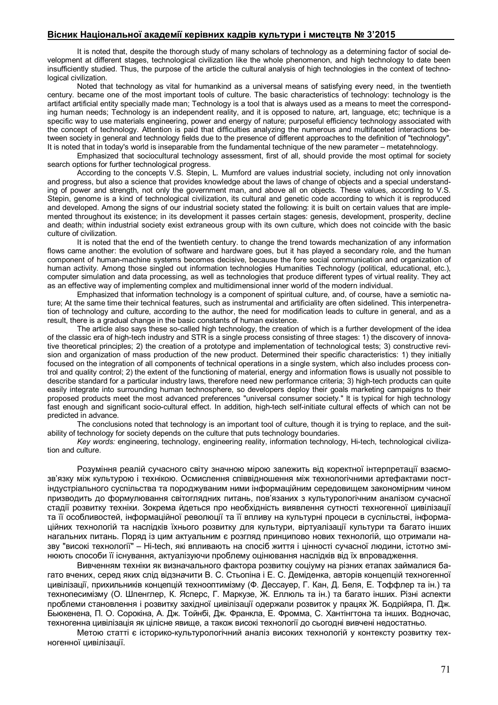## **Вісник Національної академії керівних кадрів культури і мистецтв № 3'2015**

It is noted that, despite the thorough study of many scholars of technology as a determining factor of social development at different stages, technological civilization like the whole phenomenon, and high technology to date been insufficiently studied. Thus, the purpose of the article the cultural analysis of high technologies in the context of technological civilization.

Noted that technology as vital for humankind as a universal means of satisfying every need, in the twentieth century. became one of the most important tools of culture. The basic characteristics of technology: technology is the artifact artificial entity specially made man; Technology is a tool that is always used as a means to meet the corresponding human needs; Technology is an independent reality, and it is opposed to nature, art, language, etc; technique is a specific way to use materials engineering, power and energy of nature; purposeful efficiency technology associated with the concept of technology. Attention is paid that difficulties analyzing the numerous and multifaceted interactions between society in general and technology fields due to the presence of different approaches to the definition of "technology". It is noted that in today's world is inseparable from the fundamental technique of the new parameter – metatehnology.

Emphasized that sociocultural technology assessment, first of all, should provide the most optimal for society search options for further technological progress.

According to the concepts V.S. Stepin, L. Mumford are values industrial society, including not only innovation and progress, but also a science that provides knowledge about the laws of change of objects and a special understanding of power and strength, not only the government man, and above all on objects. These values, according to V.S. Stepin, genome is a kind of technological civilization, its cultural and genetic code according to which it is reproduced and developed. Among the signs of our industrial society stated the following: it is built on certain values that are implemented throughout its existence; in its development it passes certain stages: genesis, development, prosperity, decline and death; within industrial society exist extraneous group with its own culture, which does not coincide with the basic culture of civilization.

It is noted that the end of the twentieth century. to change the trend towards mechanization of any information flows came another: the evolution of software and hardware goes, but it has played a secondary role, and the human component of human-machine systems becomes decisive, because the fore social communication and organization of human activity. Among those singled out information technologies Humanities Technology (political, educational, etc.), computer simulation and data processing, as well as technologies that produce different types of virtual reality. They act as an effective way of implementing complex and multidimensional inner world of the modern individual.

Emphasized that information technology is a component of spiritual culture, and, of course, have a semiotic nature; At the same time their technical features, such as instrumental and artificiality are often sidelined. This interpenetration of technology and culture, according to the author, the need for modification leads to culture in general, and as a result, there is a gradual change in the basic constants of human existence.

The article also says these so-called high technology, the creation of which is a further development of the idea of the classic era of high-tech industry and STR is a single process consisting of three stages: 1) the discovery of innovative theoretical principles; 2) the creation of a prototype and implementation of technological tests; 3) constructive revision and organization of mass production of the new product. Determined their specific characteristics: 1) they initially focused on the integration of all components of technical operations in a single system, which also includes process control and quality control; 2) the extent of the functioning of material, energy and information flows is usually not possible to describe standard for a particular industry laws, therefore need new performance criteria; 3) high-tech products can quite easily integrate into surrounding human technosphere, so developers deploy their goals marketing campaigns to their proposed products meet the most advanced preferences "universal consumer society." It is typical for high technology fast enough and significant socio-cultural effect. In addition, high-tech self-initiate cultural effects of which can not be predicted in advance.

The conclusions noted that technology is an important tool of culture, though it is trying to replace, and the suitability of technology for society depends on the culture that puts technology boundaries.

*Key words:* engineering, technology, engineering reality, information technology, Hi-tech, technological civilization and culture.

Розуміння реалій сучасного світу значною мірою залежить від коректної інтерпретації взаємозв'язку між культурою і технікою. Осмислення співвідношення між технологічними артефактами постіндустріального суспільства та породжуваним ними інформаційним середовищем закономірним чином призводить до формулювання світоглядних питань, пов'язаних з культурологічним аналізом сучасної стадії розвитку техніки. Зокрема йдеться про необхідність виявлення сутності техногенної цивілізації та її особливостей, інформаційної революції та її впливу на культурні процеси в суспільстві, інформаційних технологій та наслідків їхнього розвитку для культури, віртуалізації культури та багато інших нагальних питань. Поряд із цим актуальним є розгляд принципово нових технологій, що отримали назву "високі технології" – Hi-tech, які впливають на спосіб життя і цінності сучасної людини, істотно змінюють способи її існування, актуалізуючи проблему оцінювання наслідків від їх впровадження.

Вивченням техніки як визначального фактора розвитку соціуму на різних етапах займалися багато вчених, серед яких слід відзначити В. С. Стьопіна і Е. С. Деміденка, авторів концепцій техногенної цивілізації, прихильників концепцій технооптимізму (Ф. Дессауер, Г. Кан, Д. Беля, Е. Тоффлер та ін.) та технопесимізму (О. Шпенглер, К. Ясперс, Г. Маркузе, Ж. Еллюль та ін.) та багато інших. Різні аспекти проблеми становлення і розвитку західної цивілізації одержали розвиток у працях Ж. Бодрійяра, П. Дж. Бьюкенена, П. О. Сорокіна, А. Дж. Тойнбі, Дж. Франкла, Е. Фромма, С. Хантінгтона та інших. Водночас, техногенна цивілізація як цілісне явище, а також високі технології до сьогодні вивчені недостатньо.

Метою статті є історико-культурологічний аналіз високих технологій у контексту розвитку техногенної цивілізації.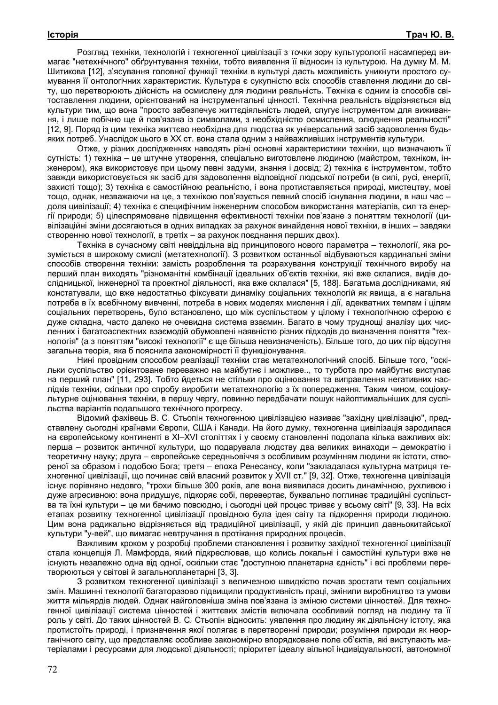Розгляд техніки, технологій і техногенної цивілізації з точки зору культурології насамперед вимагає "нетехнічного" обґрунтування техніки, тобто виявлення її відносин із культурою. На думку М. М. Шитикова [12], з'ясування головної функції техніки в культурі дасть можливість уникнути простого сумування її онтологічних характеристик. Культура є сукупністю всіх способів ставлення людини до світу, що перетворюють дійсність на осмислену для людини реальність. Техніка є одним із способів світоставлення людини, орієнтований на інструментальні цінності. Технічна реальність відрізняється від культури тим, що вона "просто забезпечує життєдіяльність людей, слугує інструментом для виживання, і лише побічно ще й пов'язана із символами, з необхідністю осмислення, олюднення реальності" [12, 9]. Поряд із цим техніка життєво необхідна для людства як універсальний засіб задоволення будьяких потреб. Унаслідок цього в ХХ ст. вона стала одним з найважливіших інструментів культури.

Отже, у різних дослідженнях наводять різні основні характеристики техніки, що визначають її сутність: 1) техніка – це штучне утворення, спеціально виготовлене людиною (майстром, техніком, інженером), яка використовує при цьому певні задуми, знання і досвід; 2) техніка є інструментом, тобто завжди використовується як засіб для задоволення відповідної людської потреби (в силі, русі, енергії, захисті тощо); 3) техніка є самостійною реальністю, і вона протиставляється природі, мистецтву, мові тощо, однак, незважаючи на це, з технікою пов'язується певний спосіб існування людини, в наш час – доля цивілізації; 4) техніка є специфічним інженерним способом використання матеріалів, сил та енергії природи; 5) цілеспрямоване підвищення ефективності техніки пов'язане з поняттям технології (цивілізаційні зміни досягаються в одних випадках за рахунок винайдення нової техніки, в інших – завдяки створенню нової технології, в третіх – за рахунок поєднання перших двох).

Техніка в сучасному світі невіддільна від принципового нового параметра – технології, яка розуміється в широкому смислі (метатехнології). З розвитком останньої відбуваються кардинальні зміни способів створення техніки: замість розроблення та розрахування конструкції технічного виробу на перший план виходять "різноманітні комбінації ідеальних об'єктів техніки, які вже склалися, видів дослідницької, інженерної та проектної діяльності, яка вже склалася" [5, 188]. Багатьма дослідниками, які констатували, що вже недостатньо фіксувати динаміку соціальних технологій як явища, а є нагальна потреба в їх всебічному вивченні, потреба в нових моделях мислення і дії, адекватних темпам і цілям соціальних перетворень, було встановлено, що між суспільством у цілому і технологічною сферою є дуже складна, часто далеко не очевидна система взаємин. Багато в чому труднощі аналізу цих численних і багатоаспектних взаємодій обумовлені наявністю різних підходів до визначення поняття "технологія" (а з поняттям "високі технології" є ще більша невизначеність). Більше того, до цих пір відсутня загальна теорія, яка б пояснила закономірності її функціонування.

Нині провідним способом реалізації техніки стає метатехнологічний спосіб. Більше того, "оскільки суспільство орієнтоване переважно на майбутнє і можливе.., то турбота про майбутнє виступає на перший план" [11, 293]. Тобто йдеться не стільки про оцінювання та виправлення негативних наслідків техніки, скільки про спробу виробити метатехнологію з їх попередження. Таким чином, соціокультурне оцінювання техніки, в першу чергу, повинно передбачати пошук найоптимальніших для суспільства варіантів подальшого технічного прогресу.

Відомий фахівець В. С. Стьопін техногенною цивілізацією називає "західну цивілізацію", представлену сьогодні країнами Європи, США і Канади. На його думку, техногенна цивілізація зародилася на європейському континенті в ХІ–ХVІ століттях і у своєму становленні подолала кілька важливих віх: перша – розвиток античної культури, що подарувала людству два великих винаходи – демократію і теоретичну науку; друга – європейське середньовіччя з особливим розумінням людини як істоти, створеної за образом і подобою Бога; третя – епоха Ренесансу, коли "закладалася культурна матриця техногенної цивілізації, що починає свій власний розвиток у XVII ст." [9, 32]. Отже, техногенна цивілізація існує порівняно недовго, "трохи більше 300 років, але вона виявилася досить динамічною, рухливою і дуже агресивною: вона придушує, підкоряє собі, перевертає, буквально поглинає традиційні суспільства та їхні культури – це ми бачимо повсюдно, і сьогодні цей процес триває у всьому світі" [9, 33]. На всіх етапах розвитку техногенної цивілізації провідною була ідея світу та підкорення природи людиною. Цим вона радикально відрізняється від традиційної цивілізації, у якій діє принцип давньокитайської культури "у-вей", що вимагає невтручання в протікання природних процесів.

Важливим кроком у розробці проблеми становлення і розвитку західної техногенної цивілізації стала концепція Л. Мамфорда, який підкреслював, що колись локальні і самостійні культури вже не існують незалежно одна від одної, оскільки стає "доступною планетарна єдність" і всі проблеми перетворюються у світові й загальнопланетарні [3, 3].

З розвитком техногенної цивілізації з величезною швидкістю почав зростати темп соціальних змін. Машинні технології багаторазово підвищили продуктивність праці, змінили виробництво та умови життя мільярдів людей. Однак найголовніша зміна пов'язана із зміною системи цінностей. Для техногенної цивілізації система цінностей і життєвих змістів включала особливий погляд на людину та її роль у світі. До таких цінностей В. С. Стьопін відносить: уявлення про людину як діяльнісну істоту, яка протистоїть природі, і призначення якої полягає в перетворенні природи; розуміння природи як неорганічного світу, що представляє особливе закономірно впорядковане поле об'єктів, які виступають матеріалами і ресурсами для людської діяльності; пріоритет ідеалу вільної індивідуальності, автономної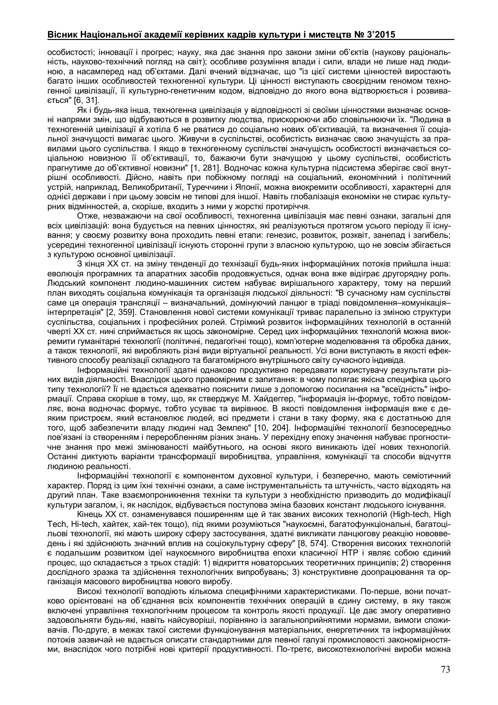## **Вісник Національної академії керівних кадрів культури і мистецтв № 3'2015**

особистості; інновації і прогрес; науку, яка дає знання про закони зміни об'єктів (наукову раціональність, науково-технічний погляд на світ); особливе розуміння влади і сили, влади не лише над людиною, а насамперед над об'єктами. Далі вчений відзначає, що "із цієї системи цінностей виростають багато інших особливостей техногенної культури. Ці цінності виступають своєрідним геномом техногенної цивілізації, її культурно-генетичним кодом, відповідно до якого вона відтворюється і розвивається" [6, 31].

Як і будь-яка інша, техногенна цивілізація у відповідності зі своїми цінностями визначає основні напрями змін, що відбуваються в розвитку людства, прискорюючи або сповільнюючи їх. "Людина в техногенній цивілізації й хотіла б не рватися до соціально нових об'єктивацій, та визначення її соціальної значущості вимагає цього. Живучи в суспільстві, особистість визначає свою значущість за правилами цього суспільства. І якщо в техногенному суспільстві значущість особистості визначається соціальною новизною її об'єктивації, то, бажаючи бути значущою у цьому суспільстві, особистість прагнутиме до об'єктивної новизни" [1, 281]. Водночас кожна культурна підсистема зберігає свої внутрішні особливості. Дійсно, навіть при побіжному погляді на соціальний, економічний і політичний устрій, наприклад, Великобританії, Туреччини і Японії, можна виокремити особливості, характерні для однієї держави і при цьому зовсім не типові для іншої. Навіть глобалізація економіки не стирає культурних відмінностей, а, скоріше, входить з ними у жорсткі протиріччя.

Отже, незважаючи на свої особливості, техногенна цивілізація має певні ознаки, загальні для всіх цивілізацій: вона будується на певних цінностях, які реалізуються протягом усього періоду її існування; у своєму розвитку вона проходить певні етапи: генезис, розвиток, розквіт, занепад і загибель; усередині техногенної цивілізації існують сторонні групи з власною культурою, що не зовсім збігається з культурою основної цивілізації.

З кінця ХХ ст. на зміну тенденції до технізації будь-яких інформаційних потоків прийшла інша: еволюція програмних та апаратних засобів продовжується, однак вона вже відіграє другорядну роль. Людський компонент людино-машинних систем набуває вирішального характеру, тому на перший план виходять соціальна комунікація та організація людської діяльності: "В сучасному нам суспільстві саме ця операція трансляції – визначальний, домінуючий ланцюг в тріаді повідомлення–комунікація– інтерпретація" [2, 359]. Становлення нової системи комунікації триває паралельно із зміною структури суспільства, соціальних і професійних ролей. Стрімкий розвиток інформаційних технологій в останній чверті ХХ ст. нині сприймається як щось закономірне. Серед цих інформаційних технологій можна виокремити гуманітарні технології (політичні, педагогічні тощо), комп'ютерне моделювання та обробка даних, а також технології, які виробляють різні види віртуальної реальності. Усі вони виступають в якості ефективного способу реалізації складного та багатомірного внутрішнього світу сучасного індивіда.

Інформаційні технології здатні однаково продуктивно передавати користувачу результати різних видів діяльності. Внаслідок цього правомірним є запитання: в чому полягає якісна специфіка цього типу технології? Її не вдається адекватно пояснити лише з допомогою посилання на "всеїдність" інформації. Справа скоріше в тому, що, як стверджує М. Хайдеггер, "інформація ін-формує, тобто повідомляє, вона водночас формує, тобто усуває та вирівнює. В якості повідомлення інформація вже є деяким пристроєм, який встановлює людей, всі предмети і стани в таку форму, яка є достатньою для того, щоб забезпечити владу людині над Землею" [10, 204]. Інформаційні технології безпосередньо пов'язані із створенням і переробленням різних знань. У перехідну епоху значення набуває прогностичне знання про межі змінюваності майбутнього, на основі якого виникають ідеї нових технологій. Останні диктують варіанти трансформації виробництва, управління, комунікації та способи відчуття людиною реальності.

Інформаційні технології є компонентом духовної культури, і безперечно, мають семіотичний характер. Поряд із цим їхні технічні ознаки, а саме інструментальність та штучність, часто відходять на другий план. Таке взаємопроникнення техніки та культури з необхідністю призводить до модифікації культури загалом, і, як наслідок, відбувається поступова зміна базових констант людського існування.

Кінець ХХ ст. ознаменувався поширенням ще й так званих високих технологій (High-tech, High Tech, Hi-tech, хайтек, хай-тек тощо), під якими розуміються "наукоємні, багатофункціональні, багатоцільові технології, які мають широку сферу застосування, здатні викликати ланцюгову реакцію нововведень і які здійснюють значний вплив на соціокультурну сферу" [8, 574]. Створення високих технологій є подальшим розвитком ідеї наукоємного виробництва епохи класичної НТР і являє собою єдиний процес, що складається з трьох стадій: 1) відкриття новаторських теоретичних принципів; 2) створення дослідного зразка та здійснення технологічних випробувань; 3) конструктивне доопрацювання та організація масового виробництва нового виробу.

Високі технології володіють кількома специфічними характеристиками. По-перше, вони початково орієнтовані на об'єднання всіх компонентів технічних операцій в єдину систему, в яку також включені управління технологічним процесом та контроль якості продукції. Це дає змогу оперативно задовольняти будь-які, навіть найсуворіші, порівняно із загальноприйнятими нормами, вимоги споживачів. По-друге, в межах такої системи функціонування матеріальних, енергетичних та інформаційних потоків зазвичай не вдається описати стандартними для певної галузі промисловості закономірностями, внаслідок чого потрібні нові критерії продуктивності. По-третє, високотехнологічні вироби можна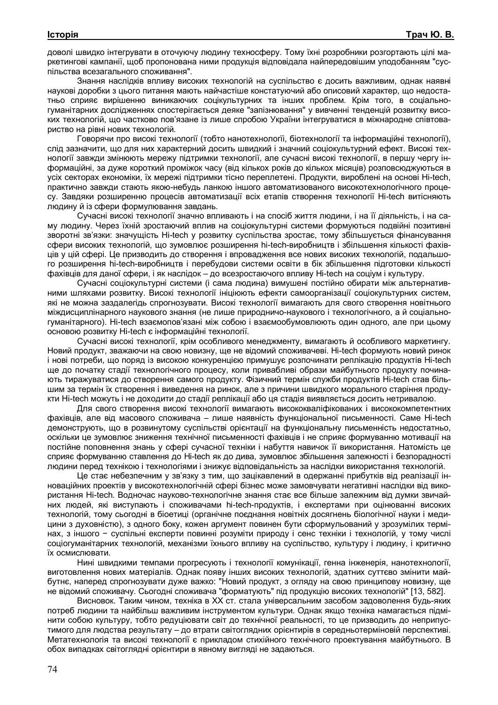доволі швидко інтегрувати в оточуючу людину техносферу. Тому їхні розробники розгортають цілі маркетингові кампанії, щоб пропонована ними продукція відповідала найпередовішим уподобанням "суспільства всезагального споживання".

Знання наслідків впливу високих технологій на суспільство є досить важливим, однак наявні наукові доробки з цього питання мають найчастіше констатуючий або описовий характер, що недостатньо сприяє вирішенню виникаючих соцікультурних та інших проблем. Крім того, в соціальногуманітарних дослідженнях спостерігається деяке "запізнювання" у вивченні тенденцій розвитку високих технологій, що частково пов'язане із лише спробою України інтегруватися в міжнародне співтовариство на рівні нових технологій.

Говорячи про високі технології (тобто нанотехнологїі, біотехнології та інформаційні технології), слід зазначити, що для них характерний досить швидкий і значний соціокультурний ефект. Високі технології завжди змінюють мережу підтримки технології, але сучасні високі технології, в першу чергу інформаційні, за дуже короткий проміжок часу (від кількох років до кількох місяців) розповсюджуються в усіх секторах економіки, їх мережі підтримки тісно переплетені. Продукти, вироблені на основі Hi-tech, практично завжди стають якою-небудь ланкою іншого автоматизованого високотехнологічного процесу. Завдяки розширенню процесів автоматизації всіх етапів створення технології Hi-tech витісняють людину й із сфери формулювання завдань.

Сучасні високі технології значно впливають і на спосіб життя людини, і на її діяльність, і на саму людину. Через їхній зростаючий вплив на соціокультурні системи формуються подвійні позитивні зворотні зв'язки: значущість Hi-tech у розвитку суспільства зростає, тому збільшується фінансування сфери високих технологій, що зумовлює розширення hi-tech-виробництв і збільшення кількості фахівців у цій сфері. Це призводить до створення і впровадження все нових високих технологій, подальшого розширення hi-tech-виробництв і перебудови системи освіти в бік збільшення підготовки кількості фахівців для даної сфери, і як наслідок – до всезростаючого впливу Hi-tech на соціум і культуру.

Сучасні соціокультурні системи (і сама людина) вимушені постійно обирати між альтернативними шляхами розвитку. Високі технології ініціюють ефекти самоорганізації соціокультурних систем, які не можна заздалегідь спрогнозувати. Високі технології вимагають для свого створення новітнього міждисциплінарного наукового знання (не лише природничо-наукового і технологічного, а й соціальногуманітарного). Hi-tech взаємопов'язані між собою і взаємообумовлюють один одного, але при цьому основою розвитку Hi-tech є інформаційні технології.

Сучасні високі технології, крім особливого менеджменту, вимагають й особливого маркетингу. Новий продукт, зважаючи на свою новизну, ще не відомий споживачеві. Hi-tech формують новий ринок і нові потреби, що поряд із високою конкуренцією примушує розпочинати реплікацію продуктів Hi-tech ще до початку стадії технологічного процесу, коли привабливі образи майбутнього продукту починають тиражуватися до створення самого продукту. Фізичний термін служби продуктів Hi-tech став більшим за термін їх створення і виведення на ринок, але з причини швидкого морального старіння продукти Hi-tech можуть і не доходити до стадії реплікації або ця стадія виявляється досить нетривалою.

Для свого створення високі технології вимагають висококваліфікованих і висококомпетентних фахівців, але від масового споживача – лише наявність функціональної письменності. Саме Hi-tech демонструють, що в розвинутому суспільстві орієнтації на функціональну письменність недостатньо, оскільки це зумовлює зниження технічної письменності фахівців і не сприяє формуванню мотивації на постійне поповнення знань у сфері сучасної техніки і набуття навичок її використання. Натомість це сприяє формуванню ставлення до Hi-tech як до дива, зумовлює збільшення залежності і безпорадності людини перед технікою і технологіями і знижує відповідальність за наслідки використання технологій.

Це стає небезпечним у зв'язку з тим, що зацікавлений в одержанні прибутків від реалізації інноваційних проектів у високотехнологічній сфері бізнес може замовчувати негативні наслідки від використання Hi-tech. Водночас науково-технологічне знання стає все більше залежним від думки звичайних людей, які виступають і споживачами hi-tech-продуктів, і експертами при оцінюванні високих технологій, тому сьогодні в біоетиці (органічне поєднання новітніх досягнень біологічної науки і медицини з духовністю), з одного боку, кожен аргумент повинен бути сформульований у зрозумілих термінах, з іншого − суспільні експерти повинні розуміти природу і сенс техніки і технологій, у тому числі соціогуманітарних технологій, механізми їхнього впливу на суспільство, культуру і людину, і критично їх осмислювати.

Нині швидкими темпами прогресують і технології комунікації, генна інженерія, нанотехнології, виготовлення нових матеріалів. Однак появу інших високих технологій, здатних суттєво змінити майбутнє, наперед спрогнозувати дуже важко: "Новий продукт, з огляду на свою принципову новизну, ще не відомий споживачу. Сьогодні споживача "форматують" під продукцію високих технологій" [13, 582].

Висновок. Таким чином, техніка в ХХ ст. стала універсальним засобом задоволення будь-яких потреб людини та найбільш важливим інструментом культури. Однак якщо техніка намагається підмінити собою культуру, тобто редуціювати світ до технічної реальності, то це призводить до неприпустимого для людства результату – до втрати світоглядних орієнтирів в середньотерміновій перспективі. Метатехнологія та високі технології є прикладом стихійного технічного проектування майбутнього. В обох випадках світоглядні орієнтири в явному вигляді не задаються.